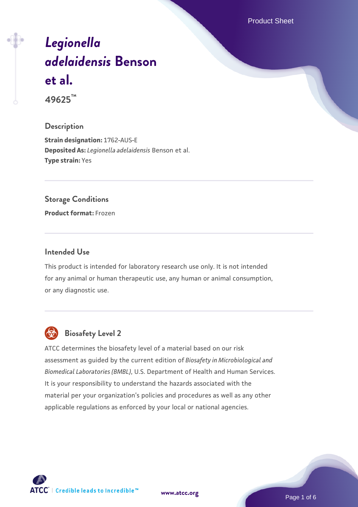Product Sheet

# *[Legionella](https://www.atcc.org/products/49625) [adelaidensis](https://www.atcc.org/products/49625)* **[Benson](https://www.atcc.org/products/49625) [et al.](https://www.atcc.org/products/49625) 49625™**

#### **Description**

**Strain designation:** 1762-AUS-E **Deposited As:** *Legionella adelaidensis* Benson et al. **Type strain:** Yes

#### **Storage Conditions**

**Product format:** Frozen

#### **Intended Use**

This product is intended for laboratory research use only. It is not intended for any animal or human therapeutic use, any human or animal consumption, or any diagnostic use.



### **Biosafety Level 2**

ATCC determines the biosafety level of a material based on our risk assessment as guided by the current edition of *Biosafety in Microbiological and Biomedical Laboratories (BMBL)*, U.S. Department of Health and Human Services. It is your responsibility to understand the hazards associated with the material per your organization's policies and procedures as well as any other applicable regulations as enforced by your local or national agencies.

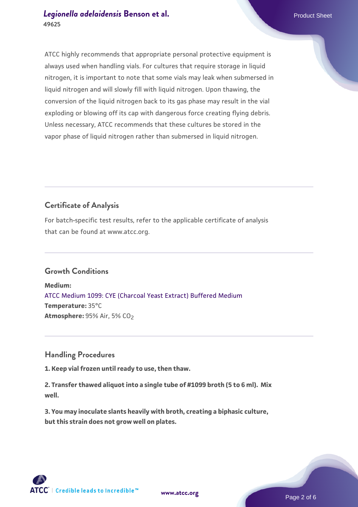#### *[Legionella adelaidensis](https://www.atcc.org/products/49625)* [Benson et al.](https://www.atcc.org/products/49625) **Product Sheet** Product Sheet **49625**

ATCC highly recommends that appropriate personal protective equipment is always used when handling vials. For cultures that require storage in liquid nitrogen, it is important to note that some vials may leak when submersed in liquid nitrogen and will slowly fill with liquid nitrogen. Upon thawing, the conversion of the liquid nitrogen back to its gas phase may result in the vial exploding or blowing off its cap with dangerous force creating flying debris. Unless necessary, ATCC recommends that these cultures be stored in the vapor phase of liquid nitrogen rather than submersed in liquid nitrogen.

## **Certificate of Analysis**

For batch-specific test results, refer to the applicable certificate of analysis that can be found at www.atcc.org.

#### **Growth Conditions**

**Medium:**  [ATCC Medium 1099: CYE \(Charcoal Yeast Extract\) Buffered Medium](https://www.atcc.org/-/media/product-assets/documents/microbial-media-formulations/1/0/9/9/atcc-medium-1099.pdf?rev=ec01e4deb9164a2eb323ff2f0bf77c89) **Temperature:** 35°C **Atmosphere: 95% Air, 5% CO<sub>2</sub>** 

#### **Handling Procedures**

**1. Keep vial frozen until ready to use, then thaw.**

**2. Transfer thawed aliquot into a single tube of #1099 broth (5 to 6 ml). Mix well.**

**3. You may inoculate slants heavily with broth, creating a biphasic culture, but this strain does not grow well on plates.**

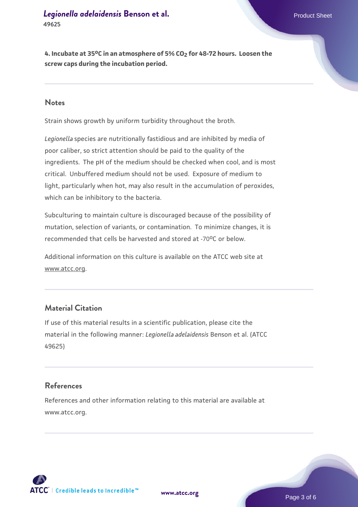**4. Incubate at 35oC in an atmosphere of 5% CO2 for 48-72 hours. Loosen the screw caps during the incubation period.**

#### **Notes**

Strain shows growth by uniform turbidity throughout the broth.

*Legionella* species are nutritionally fastidious and are inhibited by media of poor caliber, so strict attention should be paid to the quality of the ingredients. The pH of the medium should be checked when cool, and is most critical. Unbuffered medium should not be used. Exposure of medium to light, particularly when hot, may also result in the accumulation of peroxides, which can be inhibitory to the bacteria.

Subculturing to maintain culture is discouraged because of the possibility of mutation, selection of variants, or contamination. To minimize changes, it is recommended that cells be harvested and stored at -70°C or below.

Additional information on this culture is available on the ATCC web site at www.atcc.org.

#### **Material Citation**

If use of this material results in a scientific publication, please cite the material in the following manner: *Legionella adelaidensis* Benson et al. (ATCC 49625)

#### **References**

References and other information relating to this material are available at www.atcc.org.

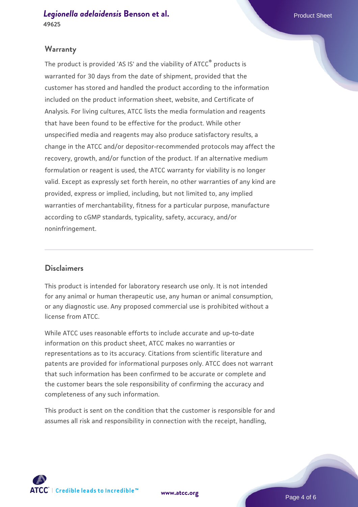*[Legionella adelaidensis](https://www.atcc.org/products/49625)* [Benson et al.](https://www.atcc.org/products/49625) **Product Sheet Allen Account Sheet Allen Account Sheet Allen Account Sheet 49625**

#### **Warranty**

The product is provided 'AS IS' and the viability of ATCC® products is warranted for 30 days from the date of shipment, provided that the customer has stored and handled the product according to the information included on the product information sheet, website, and Certificate of Analysis. For living cultures, ATCC lists the media formulation and reagents that have been found to be effective for the product. While other unspecified media and reagents may also produce satisfactory results, a change in the ATCC and/or depositor-recommended protocols may affect the recovery, growth, and/or function of the product. If an alternative medium formulation or reagent is used, the ATCC warranty for viability is no longer valid. Except as expressly set forth herein, no other warranties of any kind are provided, express or implied, including, but not limited to, any implied warranties of merchantability, fitness for a particular purpose, manufacture according to cGMP standards, typicality, safety, accuracy, and/or noninfringement.

#### **Disclaimers**

This product is intended for laboratory research use only. It is not intended for any animal or human therapeutic use, any human or animal consumption, or any diagnostic use. Any proposed commercial use is prohibited without a license from ATCC.

While ATCC uses reasonable efforts to include accurate and up-to-date information on this product sheet, ATCC makes no warranties or representations as to its accuracy. Citations from scientific literature and patents are provided for informational purposes only. ATCC does not warrant that such information has been confirmed to be accurate or complete and the customer bears the sole responsibility of confirming the accuracy and completeness of any such information.

This product is sent on the condition that the customer is responsible for and assumes all risk and responsibility in connection with the receipt, handling,



**[www.atcc.org](http://www.atcc.org)**

Page 4 of 6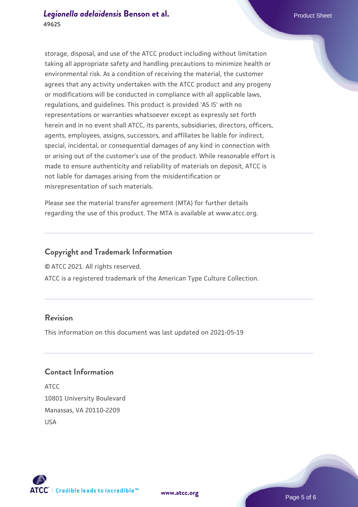storage, disposal, and use of the ATCC product including without limitation taking all appropriate safety and handling precautions to minimize health or environmental risk. As a condition of receiving the material, the customer agrees that any activity undertaken with the ATCC product and any progeny or modifications will be conducted in compliance with all applicable laws, regulations, and guidelines. This product is provided 'AS IS' with no representations or warranties whatsoever except as expressly set forth herein and in no event shall ATCC, its parents, subsidiaries, directors, officers, agents, employees, assigns, successors, and affiliates be liable for indirect, special, incidental, or consequential damages of any kind in connection with or arising out of the customer's use of the product. While reasonable effort is made to ensure authenticity and reliability of materials on deposit, ATCC is not liable for damages arising from the misidentification or misrepresentation of such materials.

Please see the material transfer agreement (MTA) for further details regarding the use of this product. The MTA is available at www.atcc.org.

#### **Copyright and Trademark Information**

© ATCC 2021. All rights reserved.

ATCC is a registered trademark of the American Type Culture Collection.

#### **Revision**

This information on this document was last updated on 2021-05-19

#### **Contact Information**

ATCC 10801 University Boulevard Manassas, VA 20110-2209 USA